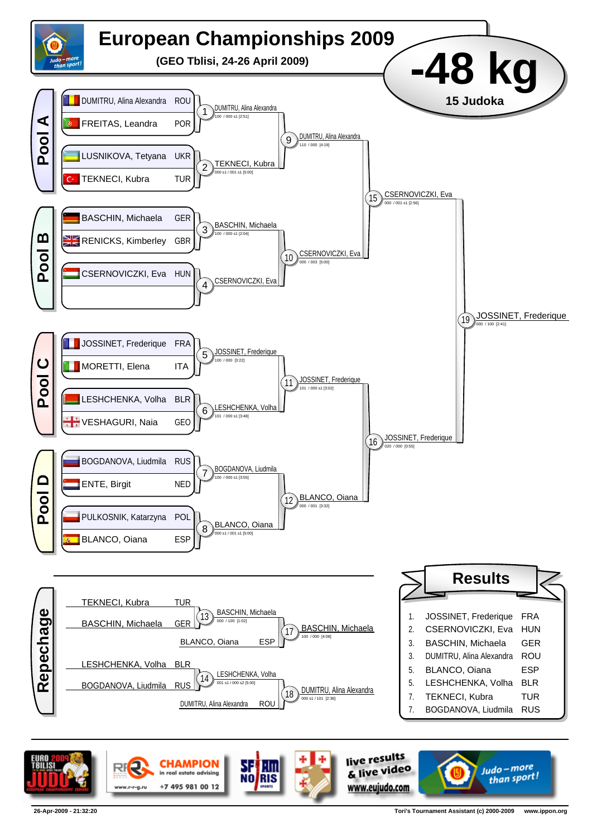

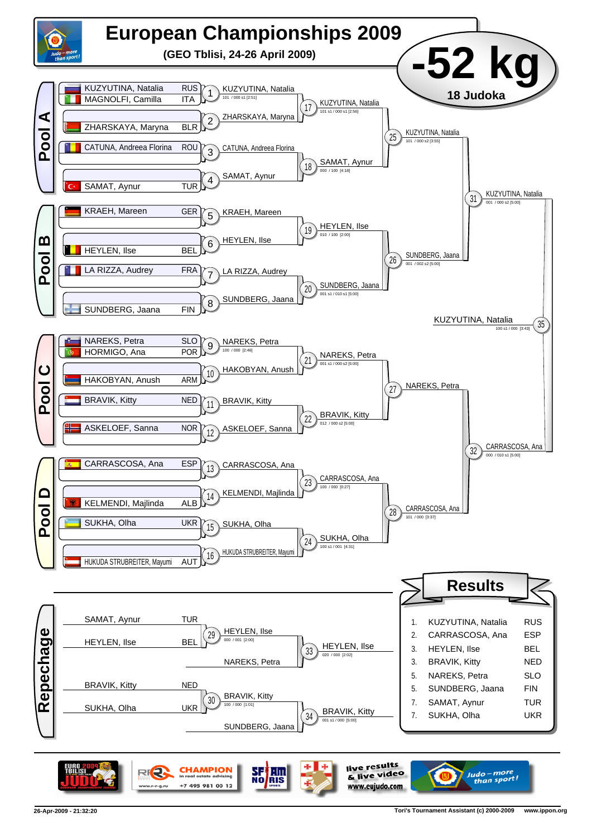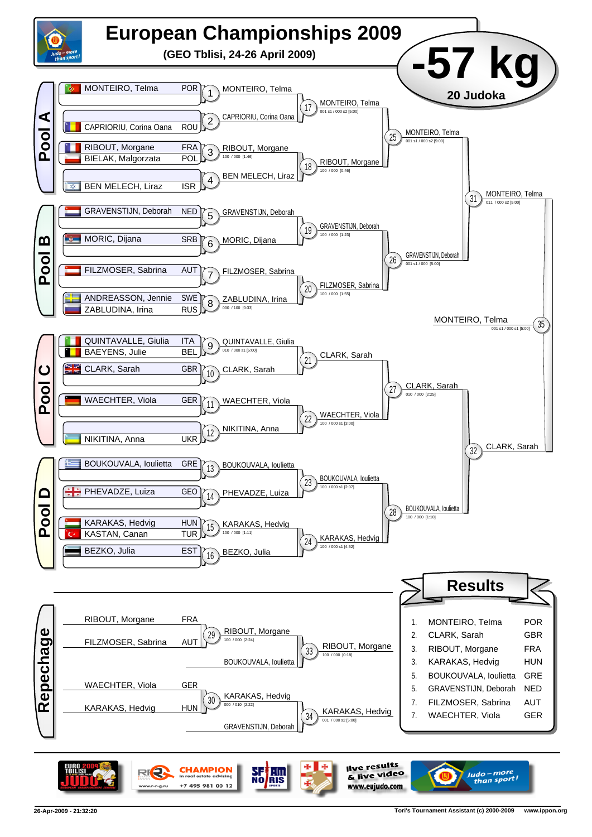

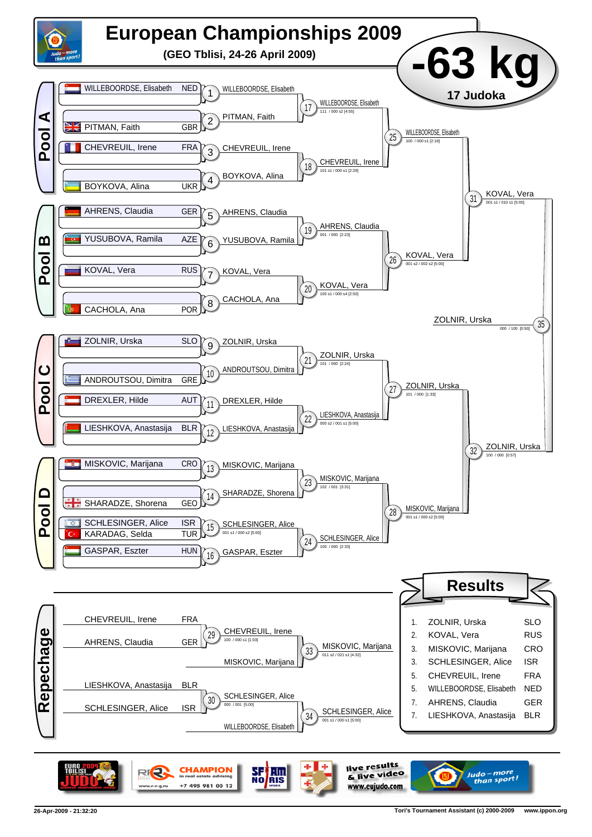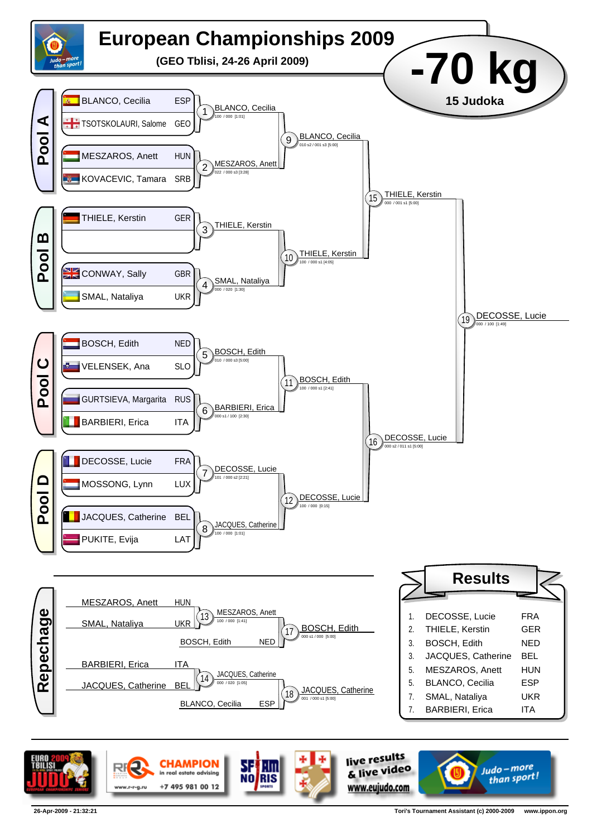

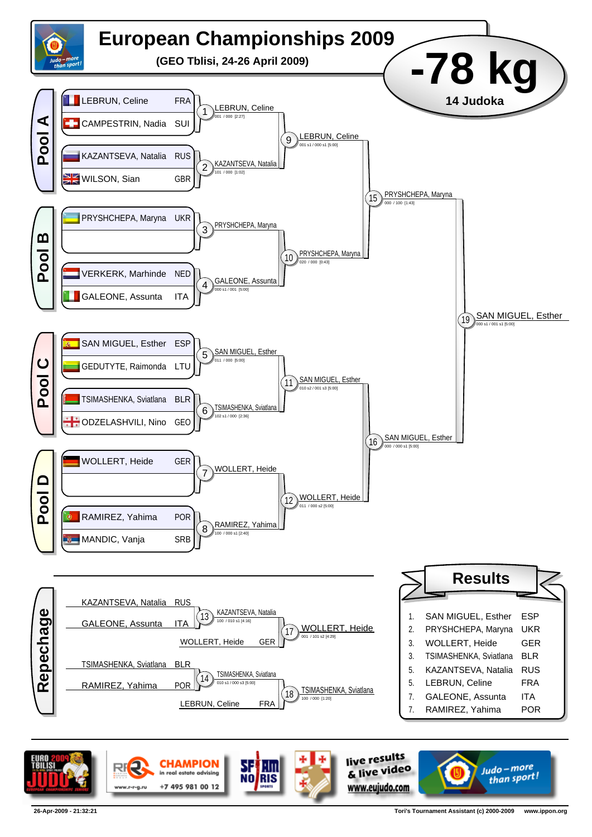